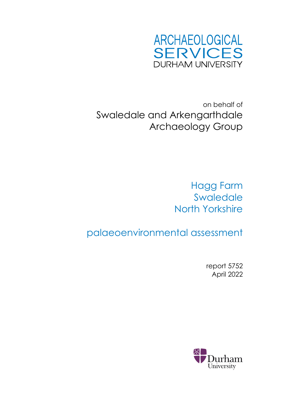

on behalf of Swaledale and Arkengarthdale Archaeology Group

> Hagg Farm **Swaledale** North Yorkshire

palaeoenvironmental assessment

report 5752 April 2022

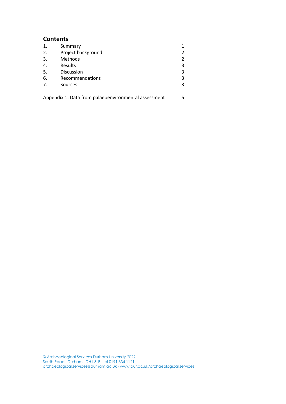## **Contents**

| 1. | Summary            |   |
|----|--------------------|---|
| 2. | Project background |   |
| 3. | Methods            |   |
| 4. | Results            | 3 |
| 5. | Discussion         | 3 |
| 6. | Recommendations    | 3 |
| 7. | Sources            |   |
|    |                    |   |

Appendix 1: Data from palaeoenvironmental assessment 5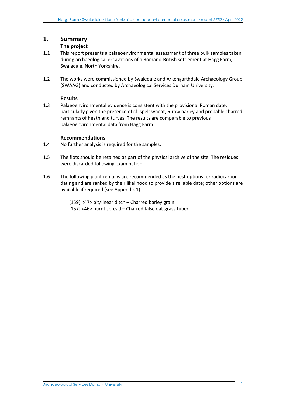## **1. Summary**

#### **The project**

- 1.1 This report presents a palaeoenvironmental assessment of three bulk samples taken during archaeological excavations of a Romano-British settlement at Hagg Farm, Swaledale, North Yorkshire.
- 1.2 The works were commissioned by Swaledale and Arkengarthdale Archaeology Group (SWAAG) and conducted by Archaeological Services Durham University.

#### **Results**

1.3 Palaeoenvironmental evidence is consistent with the provisional Roman date, particularly given the presence of cf. spelt wheat, 6-row barley and probable charred remnants of heathland turves. The results are comparable to previous palaeoenvironmental data from Hagg Farm.

#### **Recommendations**

- 1.4 No further analysis is required for the samples.
- 1.5 The flots should be retained as part of the physical archive of the site. The residues were discarded following examination.
- 1.6 The following plant remains are recommended as the best options for radiocarbon dating and are ranked by their likelihood to provide a reliable date; other options are available if required (see Appendix 1):-

[159] <47> pit/linear ditch – Charred barley grain [157] <46> burnt spread – Charred false oat-grass tuber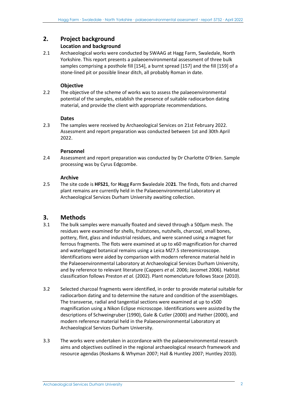## **2. Project background**

#### **Location and background**

2.1 Archaeological works were conducted by SWAAG at Hagg Farm, Swaledale, North Yorkshire. This report presents a palaeoenvironmental assessment of three bulk samples comprising a posthole fill [154], a burnt spread [157] and the fill [159] of a stone-lined pit or possible linear ditch, all probably Roman in date.

#### **Objective**

2.2 The objective of the scheme of works was to assess the palaeoenvironmental potential of the samples, establish the presence of suitable radiocarbon dating material, and provide the client with appropriate recommendations.

#### **Dates**

2.3 The samples were received by Archaeological Services on 21st February 2022. Assessment and report preparation was conducted between 1st and 30th April 2022.

#### **Personnel**

2.4 Assessment and report preparation was conducted by Dr Charlotte O'Brien. Sample processing was by Cyrus Edgcombe.

#### **Archive**

2.5 The site code is **HFS21**, for **H**agg **F**arm **S**waledale 20**21**. The finds, flots and charred plant remains are currently held in the Palaeoenvironmental Laboratory at Archaeological Services Durham University awaiting collection.

# **3. Methods**

- 3.1 The bulk samples were manually floated and sieved through a 500*μ*m mesh. The residues were examined for shells, fruitstones, nutshells, charcoal, small bones, pottery, flint, glass and industrial residues, and were scanned using a magnet for ferrous fragments. The flots were examined at up to x60 magnification for charred and waterlogged botanical remains using a Leica MZ7.5 stereomicroscope. Identifications were aided by comparison with modern reference material held in the Palaeoenvironmental Laboratory at Archaeological Services Durham University, and by reference to relevant literature (Cappers *et al.* 2006; Jacomet 2006). Habitat classification follows Preston *et al.* (2002). Plant nomenclature follows Stace (2010).
- 3.2 Selected charcoal fragments were identified, in order to provide material suitable for radiocarbon dating and to determine the nature and condition of the assemblages. The transverse, radial and tangential sections were examined at up to x500 magnification using a Nikon Eclipse microscope. Identifications were assisted by the descriptions of Schweingruber (1990), Gale & Cutler (2000) and Hather (2000), and modern reference material held in the Palaeoenvironmental Laboratory at Archaeological Services Durham University.
- 3.3 The works were undertaken in accordance with the palaeoenvironmental research aims and objectives outlined in the regional archaeological research framework and resource agendas (Roskams & Whyman 2007; Hall & Huntley 2007; Huntley 2010).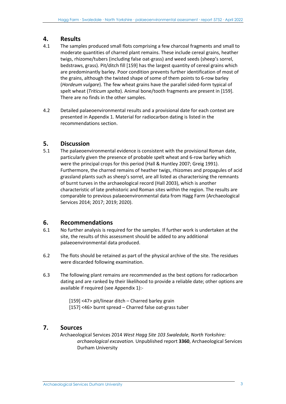# **4. Results**

- 4.1 The samples produced small flots comprising a few charcoal fragments and small to moderate quantities of charred plant remains. These include cereal grains, heather twigs, rhizome/tubers (including false oat-grass) and weed seeds (sheep's sorrel, bedstraws, grass). Pit/ditch fill [159] has the largest quantity of cereal grains which are predominantly barley. Poor condition prevents further identification of most of the grains, although the twisted shape of some of them points to 6-row barley (*Hordeum vulgare*). The few wheat grains have the parallel sided-form typical of spelt wheat (*Triticum spelta*). Animal bone/tooth fragments are present in [159]. There are no finds in the other samples.
- 4.2 Detailed palaeoenvironmental results and a provisional date for each context are presented in Appendix 1. Material for radiocarbon dating is listed in the recommendations section.

# **5. Discussion**

5.1 The palaeoenvironmental evidence is consistent with the provisional Roman date, particularly given the presence of probable spelt wheat and 6-row barley which were the principal crops for this period (Hall & Huntley 2007; Greig 1991). Furthermore, the charred remains of heather twigs, rhizomes and propagules of acid grassland plants such as sheep's sorrel, are all listed as characterising the remnants of burnt turves in the archaeological record (Hall 2003), which is another characteristic of late prehistoric and Roman sites within the region. The results are comparable to previous palaeoenvironmental data from Hagg Farm (Archaeological Services 2014; 2017; 2019; 2020).

# **6. Recommendations**

- 6.1 No further analysis is required for the samples. If further work is undertaken at the site, the results of this assessment should be added to any additional palaeoenvironmental data produced.
- 6.2 The flots should be retained as part of the physical archive of the site. The residues were discarded following examination.
- 6.3 The following plant remains are recommended as the best options for radiocarbon dating and are ranked by their likelihood to provide a reliable date; other options are available if required (see Appendix 1):-

[159] <47> pit/linear ditch – Charred barley grain [157] <46> burnt spread – Charred false oat-grass tuber

# **7. Sources**

Archaeological Services 2014 *West Hagg Site 103 Swaledale, North Yorkshire: archaeological excavation.* Unpublished report **3360**, Archaeological Services Durham University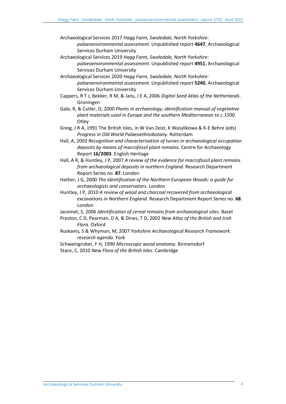Archaeological Services 2017 *Hagg Farm, Swaledale, North Yorkshire:* 

- *palaeoenvironmental assessment.* Unpublished report **4647**, Archaeological Services Durham University
- Archaeological Services 2019 *Hagg Farm, Swaledale, North Yorkshire:*

*palaeoenvironmental assessment.* Unpublished report **4951**, Archaeological Services Durham University

Archaeological Services 2020 *Hagg Farm, Swaledale, North Yorkshire: palaeoenvironmental assessment.* Unpublished report **5240**, Archaeological Services Durham University

- Cappers, R T J, Bekker, R M, & Jans, J E A, 2006 *Digital Seed Atlas of the Netherlands*. Groningen
- Gale, R, & Cutler, D, 2000 *Plants in archaeology; identification manual of vegetative plant materials used in Europe and the southern Mediterranean to c.1500*. **Otley**
- Greig, J R A, 1991 The British Isles, in W Van Zeist, K Wasylikowa & K-E Behre (eds) *Progress in Old World Palaeoethnobotany*. Rotterdam
- Hall, A, 2003 *Recognition and characterisation of turves in archaeological occupation deposits by means of macrofossil plant remains.* Centre for Archaeology Report **16/2003**. English Heritage
- Hall, A R, & Huntley, J P, 2007 *A review of the evidence for macrofossil plant remains from archaeological deposits in northern England*. Research Department Report Series no. **87**. London
- Hather, J G, 2000 *The identification of the Northern European Woods: a guide for archaeologists and conservators*. London
- Huntley, J P, 2010 *A review of wood and charcoal recovered from archaeological excavations in Northern England*. Research Department Report Series no. **68**. London
- Jacomet, S, 2006 *Identification of cereal remains from archaeological sites*. Basel
- Preston, C D, Pearman, D A, & Dines, T D, 2002 *New Atlas of the British and Irish Flora.* Oxford
- Roskams, S & Whyman, M, 2007 *Yorkshire Archaeological Research Framework: research agenda*. York
- Schweingruber, F H, 1990 *Microscopic wood anatomy*. Birmensdorf Stace, C, 2010 *New Flora of the British Isles*. Cambridge